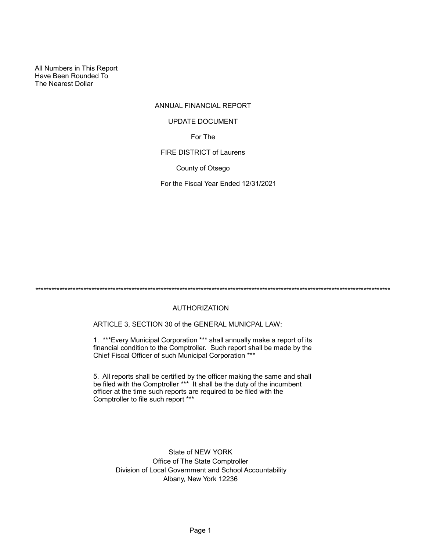All Numbers in This Report Have Been Rounded To The Nearest Dollar

## ANNUAL FINANCIAL REPORT

#### UPDATE DOCUMENT

For The

FIRE DISTRICT of Laurens

County of Otsego

For the Fiscal Year Ended 12/31/2021

\*\*\*\*\*\*\*\*\*\*\*\*\*\*\*\*\*\*\*\*\*\*\*\*\*\*\*\*\*\*\*\*\*\*\*\*\*\*\*\*\*\*\*\*\*\*\*\*\*\*\*\*\*\*\*\*\*\*\*\*\*\*\*\*\*\*\*\*\*\*\*\*\*\*\*\*\*\*\*\*\*\*\*\*\*\*\*\*\*\*\*\*\*\*\*\*\*\*\*\*\*\*\*\*\*\*\*\*\*\*\*\*\*\*\*\*\*\*\*\*\*\*\*\*\*\*\*\*\*\*\*\*\*

#### AUTHORIZATION

ARTICLE 3, SECTION 30 of the GENERAL MUNICPAL LAW:

1. \*\*\*Every Municipal Corporation \*\*\* shall annually make a report of its financial condition to the Comptroller. Such report shall be made by the Chief Fiscal Officer of such Municipal Corporation \*\*\*

5. All reports shall be certified by the officer making the same and shall be filed with the Comptroller \*\*\* It shall be the duty of the incumbent officer at the time such reports are required to be filed with the Comptroller to file such report \*\*\*

> State of NEW YORK Office of The State Comptroller Division of Local Government and School Accountability Albany, New York 12236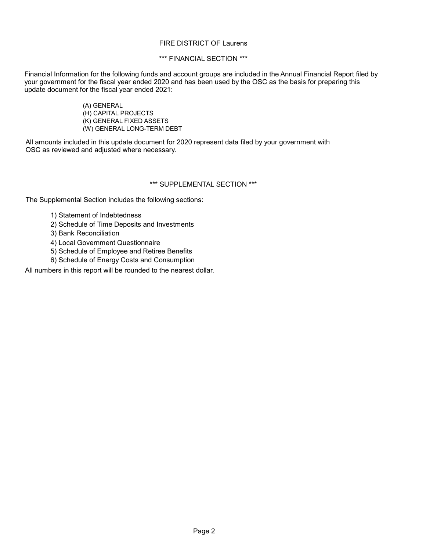### FIRE DISTRICT OF Laurens

### \*\*\* FINANCIAL SECTION \*\*\*

Financial Information for the following funds and account groups are included in the Annual Financial Report filed by your government for the fiscal year ended 2020 and has been used by the OSC as the basis for preparing this update document for the fiscal year ended 2021:

> (A) GENERAL (H) CAPITAL PROJECTS (K) GENERAL FIXED ASSETS (W) GENERAL LONG-TERM DEBT

All amounts included in this update document for 2020 represent data filed by your government with OSC as reviewed and adjusted where necessary.

### \*\*\* SUPPLEMENTAL SECTION \*\*\*

The Supplemental Section includes the following sections:

- 1) Statement of Indebtedness
- 2) Schedule of Time Deposits and Investments
- 3) Bank Reconciliation
- 4) Local Government Questionnaire
- 5) Schedule of Employee and Retiree Benefits
- 6) Schedule of Energy Costs and Consumption

All numbers in this report will be rounded to the nearest dollar.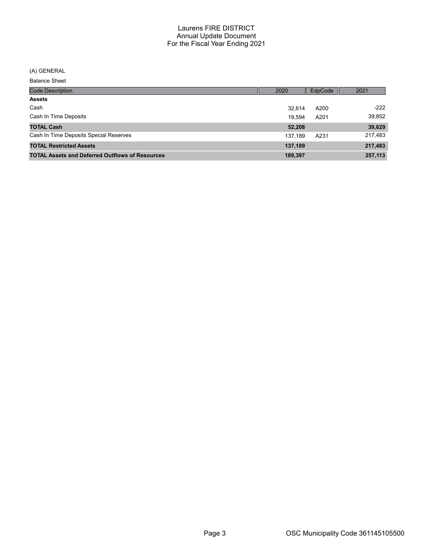# (A) GENERAL

Balance Sheet

| <b>Code Description</b>                                | 2020    | EdpCode | 2021    |
|--------------------------------------------------------|---------|---------|---------|
| <b>Assets</b>                                          |         |         |         |
| Cash                                                   | 32.614  | A200    | $-222$  |
| Cash In Time Deposits                                  | 19.594  | A201    | 39,852  |
| <b>TOTAL Cash</b>                                      | 52,208  |         | 39,629  |
| Cash In Time Deposits Special Reserves                 | 137.189 | A231    | 217,483 |
| <b>TOTAL Restricted Assets</b>                         | 137,189 |         | 217,483 |
| <b>TOTAL Assets and Deferred Outflows of Resources</b> | 189,397 |         | 257,113 |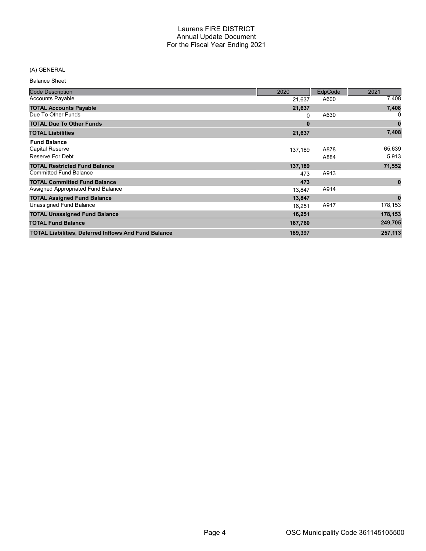### (A) GENERAL

Balance Sheet

| <b>Code Description</b>                                           | 2020     | EdpCode      | 2021            |
|-------------------------------------------------------------------|----------|--------------|-----------------|
| <b>Accounts Payable</b>                                           | 21,637   | A600         | 7,408           |
| <b>TOTAL Accounts Payable</b>                                     | 21,637   |              | 7,408           |
| Due To Other Funds                                                | 0        | A630         |                 |
| <b>TOTAL Due To Other Funds</b>                                   | $\bf{0}$ |              | 0               |
| <b>TOTAL Liabilities</b>                                          | 21,637   |              | 7,408           |
| <b>Fund Balance</b><br><b>Capital Reserve</b><br>Reserve For Debt | 137,189  | A878<br>A884 | 65,639<br>5,913 |
| <b>TOTAL Restricted Fund Balance</b>                              | 137,189  |              | 71,552          |
| <b>Committed Fund Balance</b>                                     | 473      | A913         |                 |
| <b>TOTAL Committed Fund Balance</b>                               | 473      |              | $\bf{0}$        |
| Assigned Appropriated Fund Balance                                | 13,847   | A914         |                 |
| <b>TOTAL Assigned Fund Balance</b>                                | 13,847   |              | $\bf{0}$        |
| Unassigned Fund Balance                                           | 16,251   | A917         | 178,153         |
| <b>TOTAL Unassigned Fund Balance</b>                              | 16,251   |              | 178,153         |
| <b>TOTAL Fund Balance</b>                                         | 167,760  |              | 249,705         |
| <b>TOTAL Liabilities, Deferred Inflows And Fund Balance</b>       | 189,397  |              | 257,113         |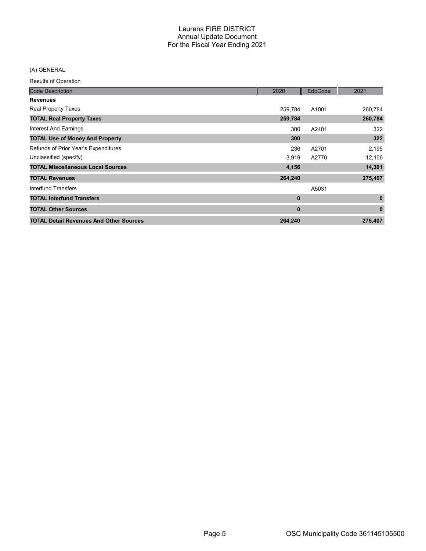### (A) GENERAL

Results of Operation

| <b>Code Description</b>                        | 2020         | EdpCode | 2021         |
|------------------------------------------------|--------------|---------|--------------|
| <b>Revenues</b>                                |              |         |              |
| <b>Real Property Taxes</b>                     | 259,784      | A1001   | 260,784      |
| <b>TOTAL Real Property Taxes</b>               | 259,784      |         | 260,784      |
| Interest And Earnings                          | 300          | A2401   | 322          |
| <b>TOTAL Use of Money And Property</b>         | 300          |         | 322          |
| Refunds of Prior Year's Expenditures           | 236          | A2701   | 2,195        |
| Unclassified (specify)                         | 3,919        | A2770   | 12,106       |
| <b>TOTAL Miscellaneous Local Sources</b>       | 4,156        |         | 14,301       |
| <b>TOTAL Revenues</b>                          | 264,240      |         | 275,407      |
| Interfund Transfers                            |              | A5031   |              |
| <b>TOTAL Interfund Transfers</b>               | $\mathbf{0}$ |         | $\mathbf{0}$ |
| <b>TOTAL Other Sources</b>                     | $\mathbf{0}$ |         | $\bf{0}$     |
| <b>TOTAL Detail Revenues And Other Sources</b> | 264,240      |         | 275,407      |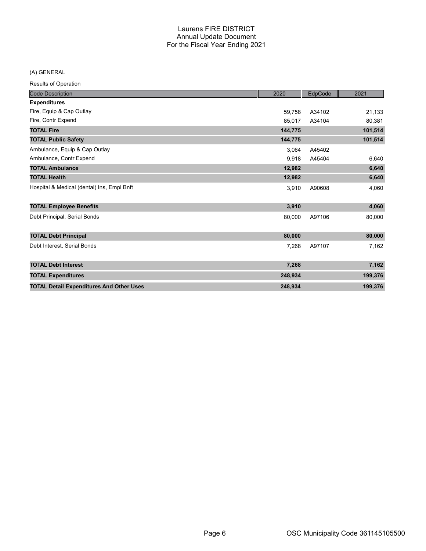(A) GENERAL

Results of Operation

| <b>Code Description</b>                         | 2020    | EdpCode | 2021    |
|-------------------------------------------------|---------|---------|---------|
| <b>Expenditures</b>                             |         |         |         |
| Fire, Equip & Cap Outlay                        | 59,758  | A34102  | 21,133  |
| Fire, Contr Expend                              | 85,017  | A34104  | 80,381  |
| <b>TOTAL Fire</b>                               | 144,775 |         | 101,514 |
| <b>TOTAL Public Safety</b>                      | 144,775 |         | 101,514 |
| Ambulance, Equip & Cap Outlay                   | 3.064   | A45402  |         |
| Ambulance, Contr Expend                         | 9,918   | A45404  | 6,640   |
| <b>TOTAL Ambulance</b>                          | 12,982  |         | 6,640   |
| <b>TOTAL Health</b>                             | 12,982  |         | 6,640   |
| Hospital & Medical (dental) Ins, Empl Bnft      | 3,910   | A90608  | 4,060   |
| <b>TOTAL Employee Benefits</b>                  | 3,910   |         | 4,060   |
| Debt Principal, Serial Bonds                    | 80,000  | A97106  | 80,000  |
| <b>TOTAL Debt Principal</b>                     | 80,000  |         | 80,000  |
| Debt Interest, Serial Bonds                     | 7,268   | A97107  | 7,162   |
| <b>TOTAL Debt Interest</b>                      | 7,268   |         | 7,162   |
| <b>TOTAL Expenditures</b>                       | 248,934 |         | 199,376 |
| <b>TOTAL Detail Expenditures And Other Uses</b> | 248,934 |         | 199,376 |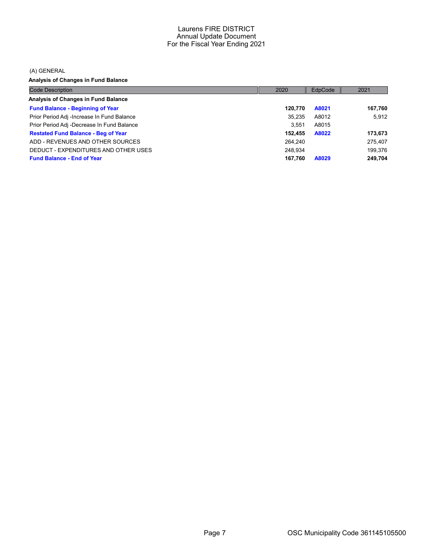(A) GENERAL

Analysis of Changes in Fund Balance

| <b>Code Description</b>                    | 2020    | EdpCode | 2021    |
|--------------------------------------------|---------|---------|---------|
| Analysis of Changes in Fund Balance        |         |         |         |
| <b>Fund Balance - Beginning of Year</b>    | 120.770 | A8021   | 167,760 |
| Prior Period Adj -Increase In Fund Balance | 35,235  | A8012   | 5.912   |
| Prior Period Adj -Decrease In Fund Balance | 3.551   | A8015   |         |
| <b>Restated Fund Balance - Beg of Year</b> | 152.455 | A8022   | 173,673 |
| ADD - REVENUES AND OTHER SOURCES           | 264.240 |         | 275,407 |
| DEDUCT - EXPENDITURES AND OTHER USES       | 248.934 |         | 199.376 |
| <b>Fund Balance - End of Year</b>          | 167.760 | A8029   | 249,704 |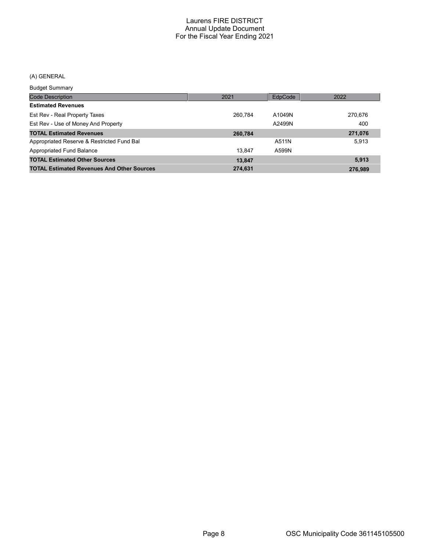### (A) GENERAL

Budget Summary

| <u>Baagot Sariiriar</u>                           |         |         |         |
|---------------------------------------------------|---------|---------|---------|
| <b>Code Description</b>                           | 2021    | EdpCode | 2022    |
| <b>Estimated Revenues</b>                         |         |         |         |
| Est Rev - Real Property Taxes                     | 260.784 | A1049N  | 270,676 |
| Est Rev - Use of Money And Property               |         | A2499N  | 400     |
| <b>TOTAL Estimated Revenues</b>                   | 260.784 |         | 271,076 |
| Appropriated Reserve & Restricted Fund Bal        |         | A511N   | 5,913   |
| Appropriated Fund Balance                         | 13.847  | A599N   |         |
| <b>TOTAL Estimated Other Sources</b>              | 13,847  |         | 5,913   |
| <b>TOTAL Estimated Revenues And Other Sources</b> | 274.631 |         | 276.989 |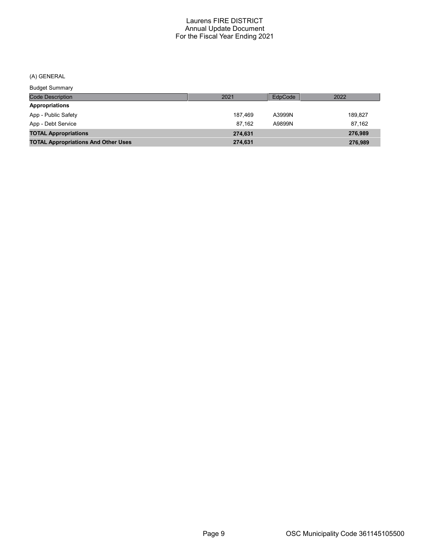(A) GENERAL

Code Description Budget Summary 2021 EdpCode 2022 Appropriations App - Public Safety 189,827 App - Debt Service 87,162 A9899N 87,162 TOTAL Appropriations 274,631 276,989 TOTAL Appropriations And Other Uses 274,631 276,989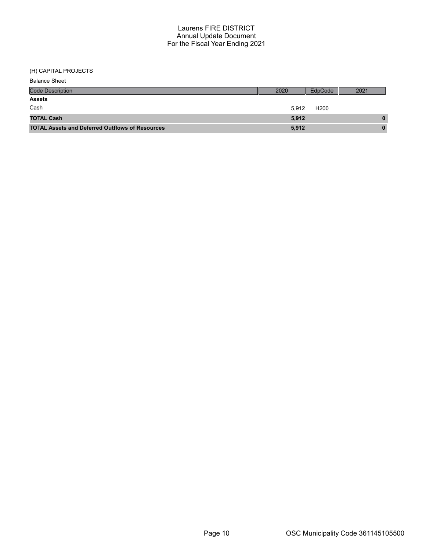### (H) CAPITAL PROJECTS

| <b>Balance Sheet</b>                                   |       |                  |      |
|--------------------------------------------------------|-------|------------------|------|
| <b>Code Description</b>                                | 2020  | EdpCode          | 2021 |
| <b>Assets</b>                                          |       |                  |      |
| Cash                                                   | 5.912 | H <sub>200</sub> |      |
| <b>TOTAL Cash</b>                                      | 5,912 |                  | 0    |
| <b>TOTAL Assets and Deferred Outflows of Resources</b> | 5,912 |                  | 0    |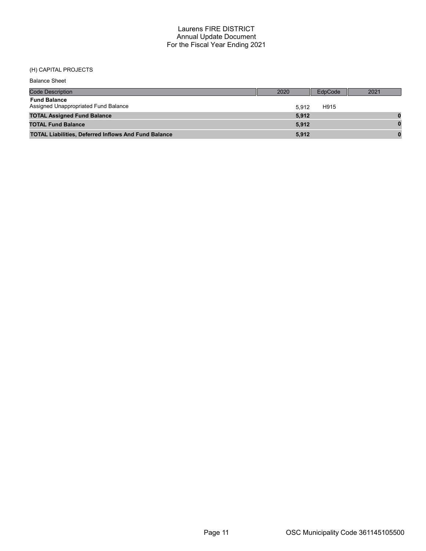### (H) CAPITAL PROJECTS

| <b>Balance Sheet</b>                                        |       |         |      |
|-------------------------------------------------------------|-------|---------|------|
| <b>Code Description</b>                                     | 2020  | EdpCode | 2021 |
| <b>Fund Balance</b><br>Assigned Unappropriated Fund Balance | 5.912 | H915    |      |
| <b>TOTAL Assigned Fund Balance</b>                          | 5.912 |         |      |
| <b>TOTAL Fund Balance</b>                                   | 5.912 |         |      |
| <b>TOTAL Liabilities, Deferred Inflows And Fund Balance</b> | 5,912 |         |      |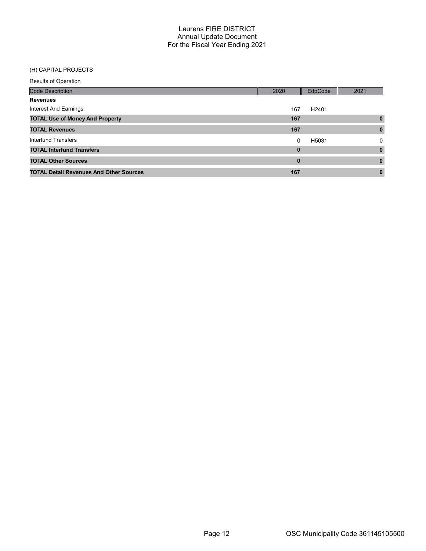### (H) CAPITAL PROJECTS

Results of Operation

| <b>Code Description</b>                        | 2020     | EdpCode           | 2021         |
|------------------------------------------------|----------|-------------------|--------------|
| <b>Revenues</b>                                |          |                   |              |
| Interest And Earnings                          | 167      | H <sub>2401</sub> |              |
| <b>TOTAL Use of Money And Property</b>         | 167      |                   | $\bf{0}$     |
| <b>TOTAL Revenues</b>                          | 167      |                   | $\bf{0}$     |
| Interfund Transfers                            | 0        | H5031             | 0            |
| <b>TOTAL Interfund Transfers</b>               | $\bf{0}$ |                   | $\mathbf{0}$ |
| <b>TOTAL Other Sources</b>                     | 0        |                   | $\bf{0}$     |
| <b>TOTAL Detail Revenues And Other Sources</b> | 167      |                   | 0            |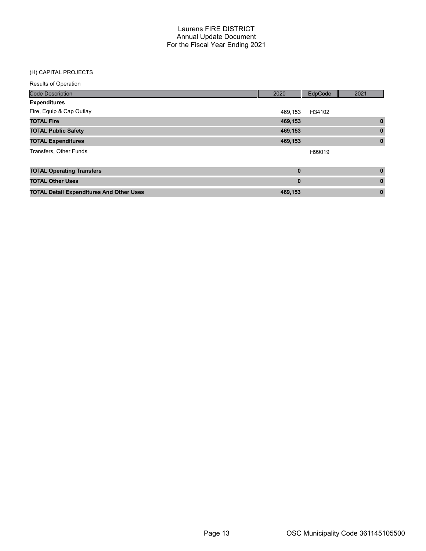#### (H) CAPITAL PROJECTS

| <b>Results of Operation</b>                     |             |         |              |
|-------------------------------------------------|-------------|---------|--------------|
| <b>Code Description</b>                         | 2020        | EdpCode | 2021         |
| <b>Expenditures</b>                             |             |         |              |
| Fire, Equip & Cap Outlay                        | 469,153     | H34102  |              |
| <b>TOTAL Fire</b>                               | 469,153     |         | $\mathbf{0}$ |
| <b>TOTAL Public Safety</b>                      | 469,153     |         | $\mathbf{0}$ |
| <b>TOTAL Expenditures</b>                       | 469,153     |         | $\mathbf 0$  |
| <b>Transfers, Other Funds</b>                   |             | H99019  |              |
| <b>TOTAL Operating Transfers</b>                | $\mathbf 0$ |         | $\mathbf 0$  |
| <b>TOTAL Other Uses</b>                         | $\bf{0}$    |         | $\bf{0}$     |
| <b>TOTAL Detail Expenditures And Other Uses</b> | 469,153     |         | $\mathbf 0$  |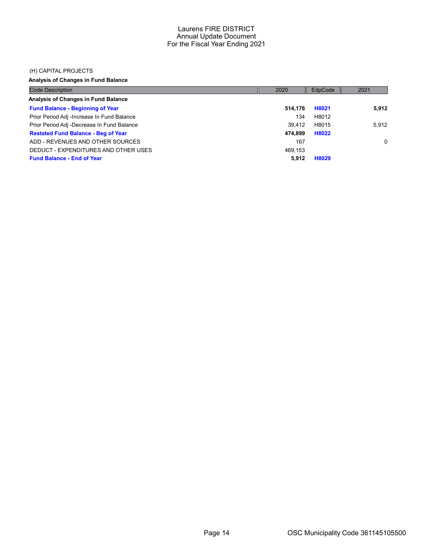#### (H) CAPITAL PROJECTS

### Analysis of Changes in Fund Balance

| <b>Code Description</b>                    | 2020    | EdpCode | 2021  |
|--------------------------------------------|---------|---------|-------|
| Analysis of Changes in Fund Balance        |         |         |       |
| <b>Fund Balance - Beginning of Year</b>    | 514.176 | H8021   | 5,912 |
| Prior Period Adj -Increase In Fund Balance | 134     | H8012   |       |
| Prior Period Adj -Decrease In Fund Balance | 39.412  | H8015   | 5.912 |
| <b>Restated Fund Balance - Beg of Year</b> | 474.899 | H8022   |       |
| ADD - REVENUES AND OTHER SOURCES           | 167     |         | 0     |
| DEDUCT - EXPENDITURES AND OTHER USES       | 469.153 |         |       |
| <b>Fund Balance - End of Year</b>          | 5.912   | H8029   |       |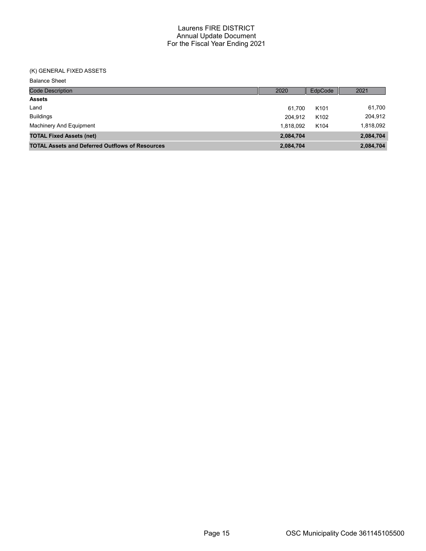### (K) GENERAL FIXED ASSETS

Balance Sheet

| <b>Code Description</b>                                | 2020      | EdpCode          | 2021      |
|--------------------------------------------------------|-----------|------------------|-----------|
| <b>Assets</b>                                          |           |                  |           |
| Land                                                   | 61.700    | K <sub>101</sub> | 61,700    |
| <b>Buildings</b>                                       | 204.912   | K <sub>102</sub> | 204,912   |
| Machinery And Equipment                                | 1.818.092 | K <sub>104</sub> | 1,818,092 |
| <b>TOTAL Fixed Assets (net)</b>                        | 2,084,704 |                  | 2,084,704 |
| <b>TOTAL Assets and Deferred Outflows of Resources</b> | 2,084,704 |                  | 2,084,704 |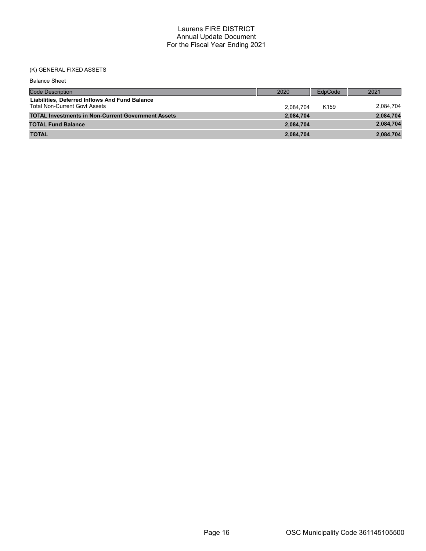### (K) GENERAL FIXED ASSETS

| <b>Balance Sheet</b>                                                                   |           |                  |           |
|----------------------------------------------------------------------------------------|-----------|------------------|-----------|
| <b>Code Description</b>                                                                | 2020      | EdpCode          | 2021      |
| Liabilities, Deferred Inflows And Fund Balance<br><b>Total Non-Current Govt Assets</b> | 2.084.704 | K <sub>159</sub> | 2,084,704 |
| <b>TOTAL Investments in Non-Current Government Assets</b>                              | 2,084,704 |                  | 2,084,704 |
| <b>TOTAL Fund Balance</b>                                                              | 2,084,704 |                  | 2,084,704 |
| <b>TOTAL</b>                                                                           | 2,084,704 |                  | 2,084,704 |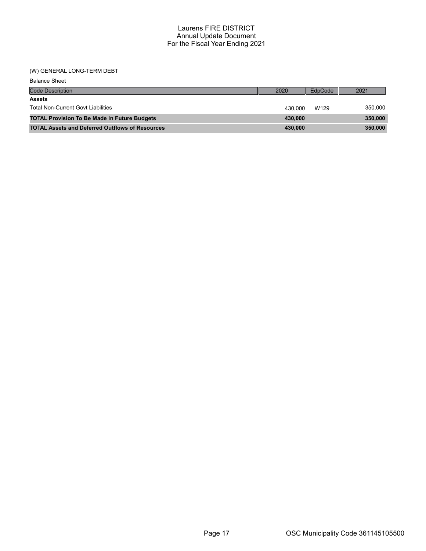#### (W) GENERAL LONG-TERM DEBT

| <b>Balance Sheet</b>                                   |         |         |         |
|--------------------------------------------------------|---------|---------|---------|
| <b>Code Description</b>                                | 2020    | EdpCode | 2021    |
| <b>Assets</b>                                          |         |         |         |
| <b>Total Non-Current Govt Liabilities</b>              | 430.000 | W129    | 350,000 |
| <b>TOTAL Provision To Be Made In Future Budgets</b>    | 430,000 |         | 350,000 |
| <b>TOTAL Assets and Deferred Outflows of Resources</b> | 430,000 |         | 350,000 |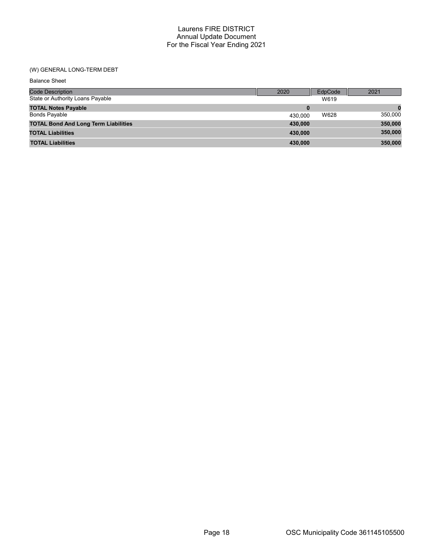### (W) GENERAL LONG-TERM DEBT

| <b>Balance Sheet</b>                        |         |         |         |
|---------------------------------------------|---------|---------|---------|
| <b>Code Description</b>                     | 2020    | EdpCode | 2021    |
| State or Authority Loans Payable            |         | W619    |         |
| <b>TOTAL Notes Payable</b>                  | 0       |         |         |
| <b>Bonds Payable</b>                        | 430,000 | W628    | 350,000 |
| <b>TOTAL Bond And Long Term Liabilities</b> | 430,000 |         | 350,000 |
| <b>TOTAL Liabilities</b>                    | 430,000 |         | 350,000 |
| <b>TOTAL Liabilities</b>                    | 430.000 |         | 350,000 |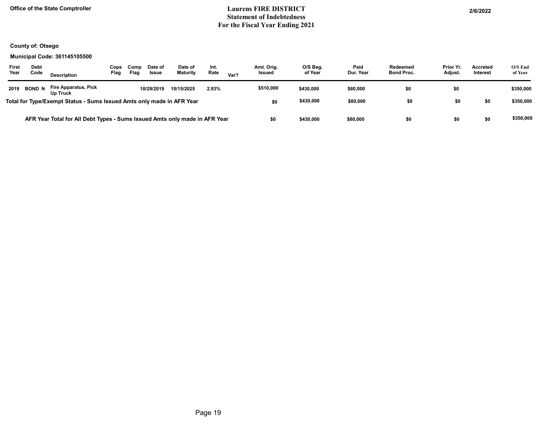### Office of the State Comptroller 206/2022 Statement of Indebtedness For the Fiscal Year Ending 2021

### County of: Otsego

#### Municipal Code: 361145105500

| First<br>Year | <b>Debt</b><br>Code | <b>Description</b>                                                         | Cops<br>Flag | Comp<br>Flag | Date of<br><b>Issue</b> | Date of<br><b>Maturity</b> | Int.<br>Rate | Var? | Amt. Orig.<br><b>Issued</b> | O/S Beg.<br>of Year | Paid<br>Dur. Year | Redeemed<br><b>Bond Proc.</b> | Prior Yr.<br>Adjust. | <b>Accreted</b><br><b>Interest</b> | $O/S$ End<br>of Year |
|---------------|---------------------|----------------------------------------------------------------------------|--------------|--------------|-------------------------|----------------------------|--------------|------|-----------------------------|---------------------|-------------------|-------------------------------|----------------------|------------------------------------|----------------------|
| 2019          | <b>BOND N</b>       | Fire Apparatus, Pick<br>Up Truck                                           |              |              | 10/29/2019              | 10/15/2025                 | 2.93%        |      | \$510,000                   | \$430,000           | \$80,000          | \$0                           | \$0                  |                                    | \$350,000            |
|               |                     | Total for Type/Exempt Status - Sums Issued Amts only made in AFR Year      |              |              |                         |                            |              |      | \$0                         | \$430,000           | \$80,000          | \$0                           | \$0                  | \$0                                | \$350,000            |
|               |                     | AFR Year Total for All Debt Types - Sums Issued Amts only made in AFR Year |              |              |                         |                            |              |      | \$0                         | \$430,000           | \$80,000          |                               | \$0                  | \$0                                | \$350,000            |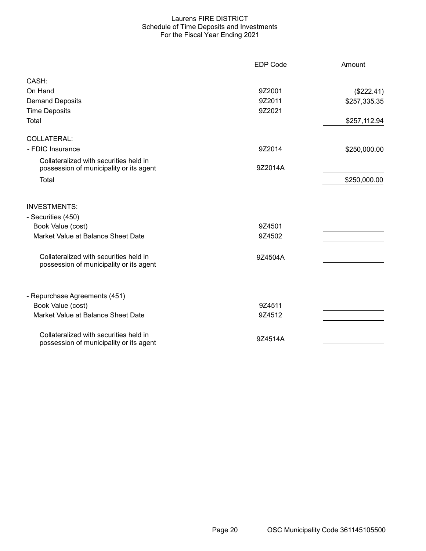#### Laurens FIRE DISTRICT Schedule of Time Deposits and Investments For the Fiscal Year Ending 2021

|                                                                                   | <b>EDP Code</b> | Amount       |
|-----------------------------------------------------------------------------------|-----------------|--------------|
| CASH:                                                                             |                 |              |
| On Hand                                                                           | 9Z2001          | (\$222.41)   |
| <b>Demand Deposits</b>                                                            | 9Z2011          | \$257,335.35 |
| <b>Time Deposits</b>                                                              | 9Z2021          |              |
| Total                                                                             |                 | \$257,112.94 |
| COLLATERAL:                                                                       |                 |              |
| - FDIC Insurance                                                                  | 9Z2014          | \$250,000.00 |
| Collateralized with securities held in<br>possession of municipality or its agent | 9Z2014A         |              |
| Total                                                                             |                 | \$250,000.00 |
| <b>INVESTMENTS:</b>                                                               |                 |              |
| - Securities (450)                                                                |                 |              |
| Book Value (cost)                                                                 | 9Z4501          |              |
| Market Value at Balance Sheet Date                                                | 9Z4502          |              |
| Collateralized with securities held in<br>possession of municipality or its agent | 9Z4504A         |              |
| - Repurchase Agreements (451)                                                     |                 |              |
| Book Value (cost)                                                                 | 9Z4511          |              |
| Market Value at Balance Sheet Date                                                | 9Z4512          |              |
| Collateralized with securities held in<br>possession of municipality or its agent | 9Z4514A         |              |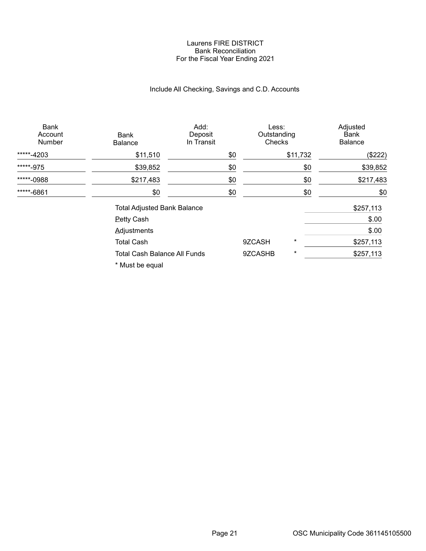#### Laurens FIRE DISTRICT Bank Reconciliation For the Fiscal Year Ending 2021

# Include All Checking, Savings and C.D. Accounts

| Bank<br>Account<br><b>Number</b> | Bank<br><b>Balance</b>                                                                                                                                                                                                            | Add:<br>Deposit<br>In Transit | Less:<br>Outstanding<br>Checks |          | Adjusted<br>Bank<br><b>Balance</b> |
|----------------------------------|-----------------------------------------------------------------------------------------------------------------------------------------------------------------------------------------------------------------------------------|-------------------------------|--------------------------------|----------|------------------------------------|
| *****-4203                       | \$11,510                                                                                                                                                                                                                          | \$0                           |                                | \$11,732 | (\$222)                            |
| *****-975                        | \$39,852                                                                                                                                                                                                                          | \$0                           |                                | \$0      | \$39,852                           |
| *****-0988                       | \$217,483                                                                                                                                                                                                                         | \$0                           |                                | \$0      | \$217,483                          |
| *****-6861                       | \$0                                                                                                                                                                                                                               | \$0                           |                                | \$0      | \$0                                |
|                                  | <b>Total Adjusted Bank Balance</b>                                                                                                                                                                                                |                               |                                |          | \$257,113                          |
|                                  | <b>Petty Cash</b>                                                                                                                                                                                                                 |                               |                                |          | \$.00                              |
|                                  | <b>Adjustments</b>                                                                                                                                                                                                                |                               |                                |          | \$.00                              |
|                                  | <b>Total Cash</b>                                                                                                                                                                                                                 |                               | 9ZCASH                         | $^\star$ | \$257,113                          |
|                                  | <b>Total Cash Balance All Funds</b>                                                                                                                                                                                               |                               | 9ZCASHB                        | $^\star$ | \$257,113                          |
|                                  | $\mathbf{r}$ , and a set of the set of the set of the set of the set of the set of the set of the set of the set of the set of the set of the set of the set of the set of the set of the set of the set of the set of the set of |                               |                                |          |                                    |

\* Must be equal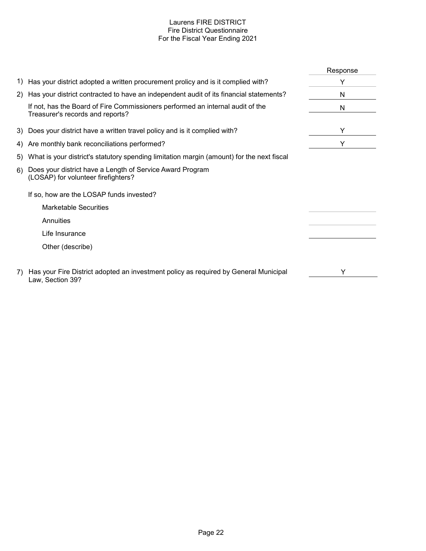### Laurens FIRE DISTRICT Fire District Questionnaire For the Fiscal Year Ending 2021

|    |                                                                                                                    | Response |
|----|--------------------------------------------------------------------------------------------------------------------|----------|
|    | 1) Has your district adopted a written procurement prolicy and is it complied with?                                |          |
|    | 2) Has your district contracted to have an independent audit of its financial statements?                          | N        |
|    | If not, has the Board of Fire Commissioners performed an internal audit of the<br>Treasurer's records and reports? | N        |
|    | 3) Does your district have a written travel policy and is it complied with?                                        | Y        |
| 4) | Are monthly bank reconciliations performed?                                                                        | Y        |
| 5) | What is your district's statutory spending limitation margin (amount) for the next fiscal                          |          |
| 6) | Does your district have a Length of Service Award Program<br>(LOSAP) for volunteer firefighters?                   |          |
|    | If so, how are the LOSAP funds invested?                                                                           |          |
|    | <b>Marketable Securities</b>                                                                                       |          |
|    | Annuities                                                                                                          |          |
|    | Life Insurance                                                                                                     |          |
|    | Other (describe)                                                                                                   |          |
| 7) | Has your Fire District adopted an investment policy as required by General Municipal<br>Law, Section 39?           | Y        |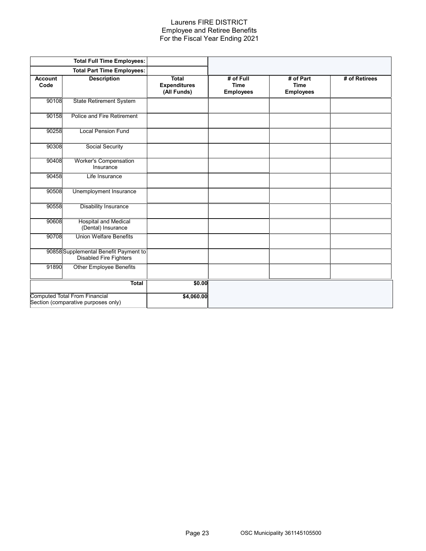#### Laurens FIRE DISTRICT Employee and Retiree Benefits For the Fiscal Year Ending 2021

|                        | <b>Total Full Time Employees:</b>                                           |                                             |                                              |                                              |               |
|------------------------|-----------------------------------------------------------------------------|---------------------------------------------|----------------------------------------------|----------------------------------------------|---------------|
|                        | <b>Total Part Time Employees:</b>                                           |                                             |                                              |                                              |               |
| <b>Account</b><br>Code | <b>Description</b>                                                          | Total<br><b>Expenditures</b><br>(All Funds) | # of Full<br><b>Time</b><br><b>Employees</b> | # of Part<br><b>Time</b><br><b>Employees</b> | # of Retirees |
| 90108                  | <b>State Retirement System</b>                                              |                                             |                                              |                                              |               |
| 90158                  | Police and Fire Retirement                                                  |                                             |                                              |                                              |               |
| 90258                  | <b>Local Pension Fund</b>                                                   |                                             |                                              |                                              |               |
| 90308                  | Social Security                                                             |                                             |                                              |                                              |               |
| 90408                  | <b>Worker's Compensation</b><br>Insurance                                   |                                             |                                              |                                              |               |
| 90458                  | Life Insurance                                                              |                                             |                                              |                                              |               |
| 90508                  | Unemployment Insurance                                                      |                                             |                                              |                                              |               |
| 90558                  | <b>Disability Insurance</b>                                                 |                                             |                                              |                                              |               |
| 90608                  | <b>Hospital and Medical</b><br>(Dental) Insurance                           |                                             |                                              |                                              |               |
| 90708                  | <b>Union Welfare Benefits</b>                                               |                                             |                                              |                                              |               |
|                        | 90858 Supplemental Benefit Payment to<br><b>Disabled Fire Fighters</b>      |                                             |                                              |                                              |               |
| 91890                  | <b>Other Employee Benefits</b>                                              |                                             |                                              |                                              |               |
|                        | <b>Total</b>                                                                | \$0.00                                      |                                              |                                              |               |
|                        | <b>Computed Total From Financial</b><br>Section (comparative purposes only) | \$4,060.00                                  |                                              |                                              |               |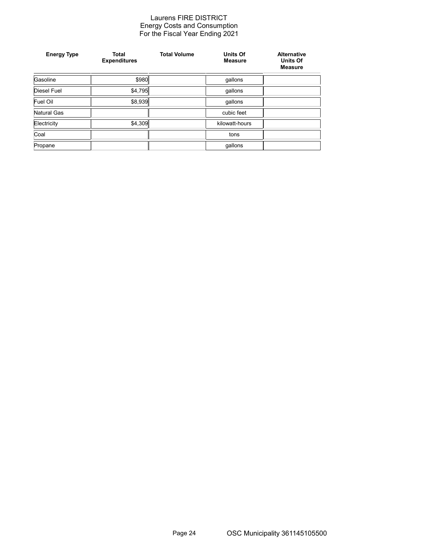#### Laurens FIRE DISTRICT Energy Costs and Consumption For the Fiscal Year Ending 2021

| <b>Energy Type</b> | <b>Total</b><br><b>Expenditures</b> | <b>Total Volume</b> | <b>Units Of</b><br><b>Measure</b> | <b>Alternative</b><br><b>Units Of</b><br><b>Measure</b> |
|--------------------|-------------------------------------|---------------------|-----------------------------------|---------------------------------------------------------|
| Gasoline           | \$980                               |                     | gallons                           |                                                         |
| Diesel Fuel        | \$4,795                             |                     | gallons                           |                                                         |
| Fuel Oil           | \$8,939                             |                     | gallons                           |                                                         |
| <b>Natural Gas</b> |                                     |                     | cubic feet                        |                                                         |
| Electricity        | \$4,309                             |                     | kilowatt-hours                    |                                                         |
| Coal               |                                     |                     | tons                              |                                                         |
| Propane            |                                     |                     | gallons                           |                                                         |